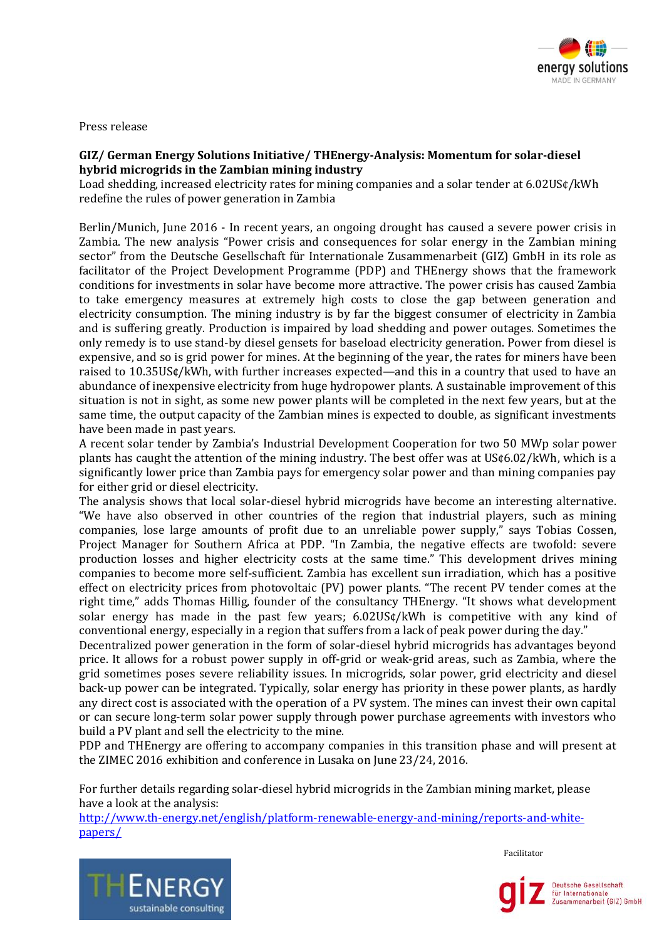

Press release

## **GIZ/ German Energy Solutions Initiative/ THEnergy-Analysis: Momentum for solar-diesel hybrid microgrids in the Zambian mining industry**

Load shedding, increased electricity rates for mining companies and a solar tender at 6.02US¢/kWh redefine the rules of power generation in Zambia

Berlin/Munich, June 2016 - In recent years, an ongoing drought has caused a severe power crisis in Zambia. The new analysis "Power crisis and consequences for solar energy in the Zambian mining sector" from the Deutsche Gesellschaft für Internationale Zusammenarbeit (GIZ) GmbH in its role as facilitator of the Project Development Programme (PDP) and THEnergy shows that the framework conditions for investments in solar have become more attractive. The power crisis has caused Zambia to take emergency measures at extremely high costs to close the gap between generation and electricity consumption. The mining industry is by far the biggest consumer of electricity in Zambia and is suffering greatly. Production is impaired by load shedding and power outages. Sometimes the only remedy is to use stand-by diesel gensets for baseload electricity generation. Power from diesel is expensive, and so is grid power for mines. At the beginning of the year, the rates for miners have been raised to 10.35US¢/kWh, with further increases expected—and this in a country that used to have an abundance of inexpensive electricity from huge hydropower plants. A sustainable improvement of this situation is not in sight, as some new power plants will be completed in the next few years, but at the same time, the output capacity of the Zambian mines is expected to double, as significant investments have been made in past years.

A recent solar tender by Zambia's Industrial Development Cooperation for two 50 MWp solar power plants has caught the attention of the mining industry. The best offer was at US¢6.02/kWh, which is a significantly lower price than Zambia pays for emergency solar power and than mining companies pay for either grid or diesel electricity.

The analysis shows that local solar-diesel hybrid microgrids have become an interesting alternative. "We have also observed in other countries of the region that industrial players, such as mining companies, lose large amounts of profit due to an unreliable power supply," says Tobias Cossen, Project Manager for Southern Africa at PDP. "In Zambia, the negative effects are twofold: severe production losses and higher electricity costs at the same time." This development drives mining companies to become more self-sufficient. Zambia has excellent sun irradiation, which has a positive effect on electricity prices from photovoltaic (PV) power plants. "The recent PV tender comes at the right time," adds Thomas Hillig, founder of the consultancy THEnergy. "It shows what development solar energy has made in the past few years; 6.02US¢/kWh is competitive with any kind of conventional energy, especially in a region that suffers from a lack of peak power during the day."

Decentralized power generation in the form of solar-diesel hybrid microgrids has advantages beyond price. It allows for a robust power supply in off-grid or weak-grid areas, such as Zambia, where the grid sometimes poses severe reliability issues. In microgrids, solar power, grid electricity and diesel back-up power can be integrated. Typically, solar energy has priority in these power plants, as hardly any direct cost is associated with the operation of a PV system. The mines can invest their own capital or can secure long-term solar power supply through power purchase agreements with investors who build a PV plant and sell the electricity to the mine.

PDP and THEnergy are offering to accompany companies in this transition phase and will present at the ZIMEC 2016 exhibition and conference in Lusaka on June 23/24, 2016.

For further details regarding solar-diesel hybrid microgrids in the Zambian mining market, please have a look at the analysis:

[http://www.th-energy.net/english/platform-renewable-energy-and-mining/reports-and-white](http://www.th-energy.net/english/platform-renewable-energy-and-mining/reports-and-white-papers/)[papers/](http://www.th-energy.net/english/platform-renewable-energy-and-mining/reports-and-white-papers/)



Facilitator